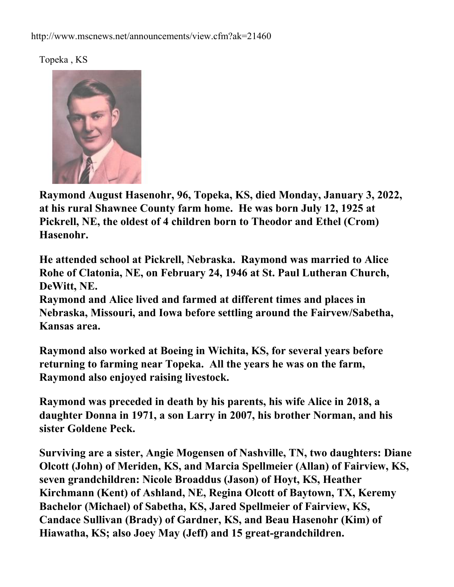Topeka , KS



**Raymond August Hasenohr, 96, Topeka, KS, died Monday, January 3, 2022, at his rural Shawnee County farm home. He was born July 12, 1925 at Pickrell, NE, the oldest of 4 children born to Theodor and Ethel (Crom) Hasenohr.**

**He attended school at Pickrell, Nebraska. Raymond was married to Alice Rohe of Clatonia, NE, on February 24, 1946 at St. Paul Lutheran Church, DeWitt, NE.**

**Raymond and Alice lived and farmed at different times and places in Nebraska, Missouri, and Iowa before settling around the Fairvew/Sabetha, Kansas area.**

**Raymond also worked at Boeing in Wichita, KS, for several years before returning to farming near Topeka. All the years he was on the farm, Raymond also enjoyed raising livestock.**

**Raymond was preceded in death by his parents, his wife Alice in 2018, a daughter Donna in 1971, a son Larry in 2007, his brother Norman, and his sister Goldene Peck.**

**Surviving are a sister, Angie Mogensen of Nashville, TN, two daughters: Diane Olcott (John) of Meriden, KS, and Marcia Spellmeier (Allan) of Fairview, KS, seven grandchildren: Nicole Broaddus (Jason) of Hoyt, KS, Heather Kirchmann (Kent) of Ashland, NE, Regina Olcott of Baytown, TX, Keremy Bachelor (Michael) of Sabetha, KS, Jared Spellmeier of Fairview, KS, Candace Sullivan (Brady) of Gardner, KS, and Beau Hasenohr (Kim) of Hiawatha, KS; also Joey May (Jeff) and 15 great-grandchildren.**